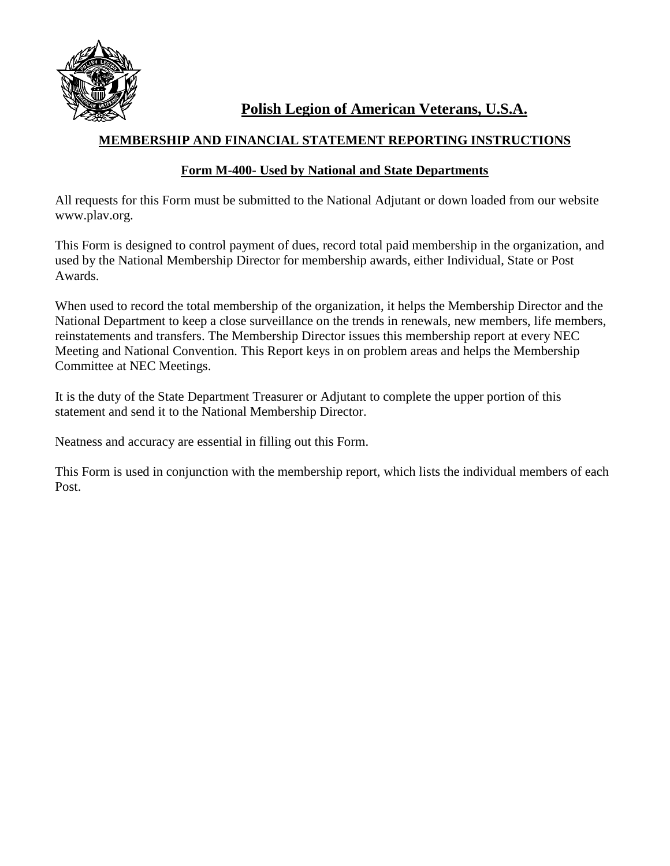

**Polish Legion of American Veterans, U.S.A.**

## **MEMBERSHIP AND FINANCIAL STATEMENT REPORTING INSTRUCTIONS**

## **Form M-400- Used by National and State Departments**

All requests for this Form must be submitted to the National Adjutant or down loaded from our website www.plav.org.

This Form is designed to control payment of dues, record total paid membership in the organization, and used by the National Membership Director for membership awards, either Individual, State or Post Awards.

When used to record the total membership of the organization, it helps the Membership Director and the National Department to keep a close surveillance on the trends in renewals, new members, life members, reinstatements and transfers. The Membership Director issues this membership report at every NEC Meeting and National Convention. This Report keys in on problem areas and helps the Membership Committee at NEC Meetings.

It is the duty of the State Department Treasurer or Adjutant to complete the upper portion of this statement and send it to the National Membership Director.

Neatness and accuracy are essential in filling out this Form.

This Form is used in conjunction with the membership report, which lists the individual members of each Post.